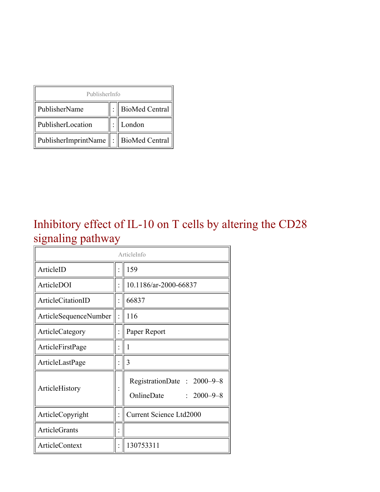| PublisherInfo                         |  |                    |  |  |
|---------------------------------------|--|--------------------|--|--|
| PublisherName                         |  | :   BioMed Central |  |  |
| PublisherLocation                     |  | London             |  |  |
| PublisherImprintName : BioMed Central |  |                    |  |  |

#### Inhibitory effect of IL-10 on T cells by altering the CD28 signaling pathway

| ArticleInfo           |                      |                                                              |  |
|-----------------------|----------------------|--------------------------------------------------------------|--|
| ArticleID             |                      | 159                                                          |  |
| ArticleDOI            |                      | 10.1186/ar-2000-66837                                        |  |
| ArticleCitationID     |                      | 66837                                                        |  |
| ArticleSequenceNumber |                      | 116                                                          |  |
| ArticleCategory       |                      | Paper Report                                                 |  |
| ArticleFirstPage      |                      | 1                                                            |  |
| ArticleLastPage       |                      | 3                                                            |  |
| ArticleHistory        |                      | RegistrationDate: 2000-9-8<br>OnlineDate<br>$: 2000 - 9 - 8$ |  |
| ArticleCopyright      | $\ddot{\phantom{0}}$ | <b>Current Science Ltd2000</b>                               |  |
| <b>ArticleGrants</b>  |                      |                                                              |  |
| <b>ArticleContext</b> |                      | 130753311                                                    |  |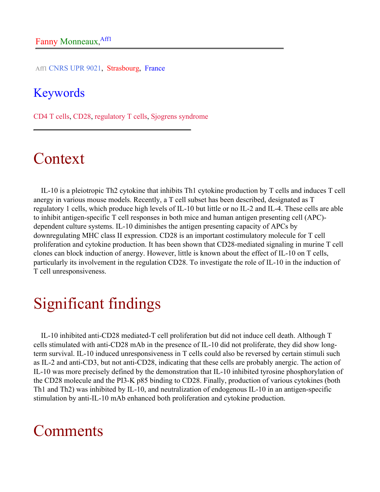Aff1 CNRS UPR 9021, Strasbourg, France

#### Keywords

CD4 T cells, CD28, regulatory T cells, Sjogrens syndrome

# Context

IL-10 is a pleiotropic Th2 cytokine that inhibits Th1 cytokine production by T cells and induces T cell anergy in various mouse models. Recently, a T cell subset has been described, designated as T regulatory 1 cells, which produce high levels of IL-10 but little or no IL-2 and IL-4. These cells are able to inhibit antigen-specific T cell responses in both mice and human antigen presenting cell (APC) dependent culture systems. IL-10 diminishes the antigen presenting capacity of APCs by downregulating MHC class II expression. CD28 is an important costimulatory molecule for T cell proliferation and cytokine production. It has been shown that CD28-mediated signaling in murine T cell clones can block induction of anergy. However, little is known about the effect of IL-10 on T cells, particularly its involvement in the regulation CD28. To investigate the role of IL-10 in the induction of T cell unresponsiveness.

# Significant findings

IL-10 inhibited anti-CD28 mediated-T cell proliferation but did not induce cell death. Although T cells stimulated with anti-CD28 mAb in the presence of IL-10 did not proliferate, they did show longterm survival. IL-10 induced unresponsiveness in T cells could also be reversed by certain stimuli such as IL-2 and anti-CD3, but not anti-CD28, indicating that these cells are probably anergic. The action of IL-10 was more precisely defined by the demonstration that IL-10 inhibited tyrosine phosphorylation of the CD28 molecule and the PI3-K p85 binding to CD28. Finally, production of various cytokines (both Th1 and Th2) was inhibited by IL-10, and neutralization of endogenous IL-10 in an antigen-specific stimulation by anti-IL-10 mAb enhanced both proliferation and cytokine production.

## Comments